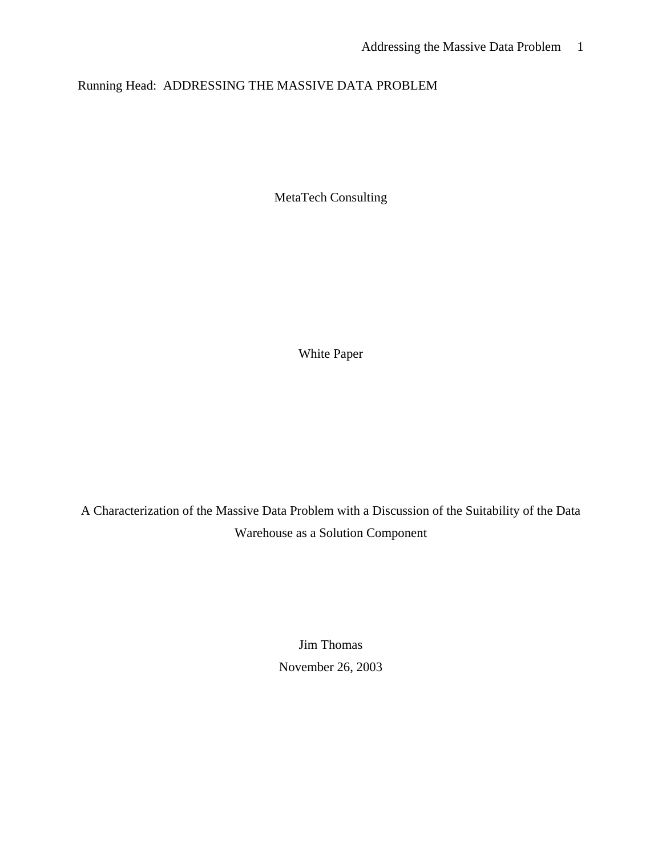# Running Head: ADDRESSING THE MASSIVE DATA PROBLEM

MetaTech Consulting

White Paper

A Characterization of the Massive Data Problem with a Discussion of the Suitability of the Data Warehouse as a Solution Component

> Jim Thomas November 26, 2003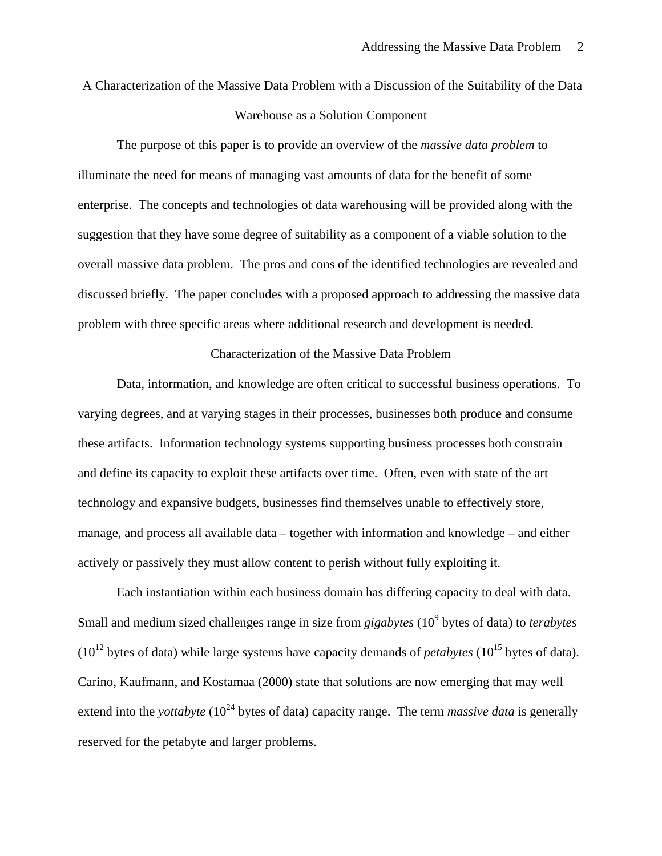A Characterization of the Massive Data Problem with a Discussion of the Suitability of the Data Warehouse as a Solution Component

The purpose of this paper is to provide an overview of the *massive data problem* to illuminate the need for means of managing vast amounts of data for the benefit of some enterprise. The concepts and technologies of data warehousing will be provided along with the suggestion that they have some degree of suitability as a component of a viable solution to the overall massive data problem. The pros and cons of the identified technologies are revealed and discussed briefly. The paper concludes with a proposed approach to addressing the massive data problem with three specific areas where additional research and development is needed.

#### Characterization of the Massive Data Problem

Data, information, and knowledge are often critical to successful business operations. To varying degrees, and at varying stages in their processes, businesses both produce and consume these artifacts. Information technology systems supporting business processes both constrain and define its capacity to exploit these artifacts over time. Often, even with state of the art technology and expansive budgets, businesses find themselves unable to effectively store, manage, and process all available data – together with information and knowledge – and either actively or passively they must allow content to perish without fully exploiting it.

Each instantiation within each business domain has differing capacity to deal with data. Small and medium sized challenges range in size from *gigabytes* (10<sup>9</sup> bytes of data) to *terabytes*  $(10^{12}$  bytes of data) while large systems have capacity demands of *petabytes*  $(10^{15}$  bytes of data). Carino, Kaufmann, and Kostamaa (2000) state that solutions are now emerging that may well extend into the *yottabyte* ( $10^{24}$  bytes of data) capacity range. The term *massive data* is generally reserved for the petabyte and larger problems.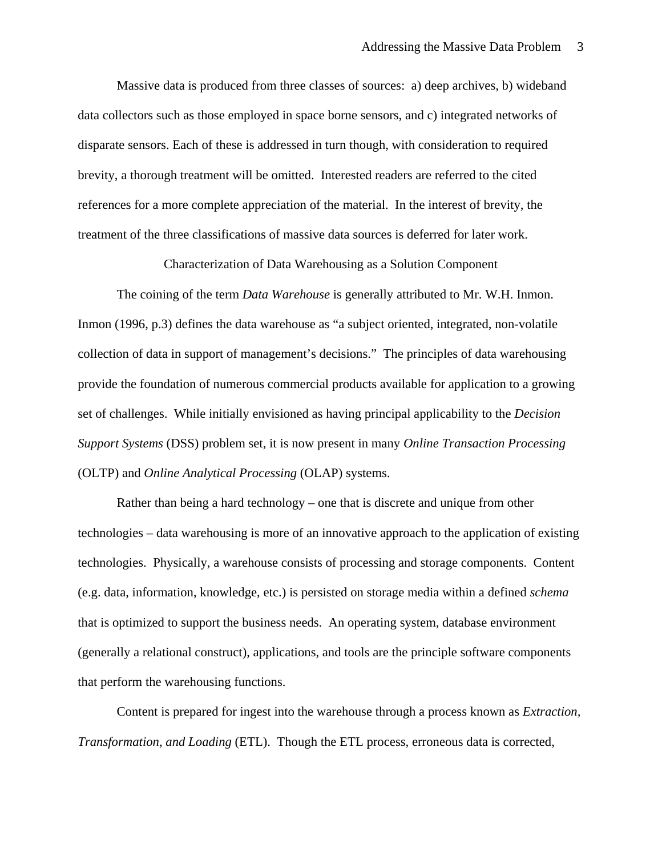Massive data is produced from three classes of sources: a) deep archives, b) wideband data collectors such as those employed in space borne sensors, and c) integrated networks of disparate sensors. Each of these is addressed in turn though, with consideration to required brevity, a thorough treatment will be omitted. Interested readers are referred to the cited references for a more complete appreciation of the material. In the interest of brevity, the treatment of the three classifications of massive data sources is deferred for later work.

Characterization of Data Warehousing as a Solution Component

The coining of the term *Data Warehouse* is generally attributed to Mr. W.H. Inmon. Inmon (1996, p.3) defines the data warehouse as "a subject oriented, integrated, non-volatile collection of data in support of management's decisions." The principles of data warehousing provide the foundation of numerous commercial products available for application to a growing set of challenges. While initially envisioned as having principal applicability to the *Decision Support Systems* (DSS) problem set, it is now present in many *Online Transaction Processing*  (OLTP) and *Online Analytical Processing* (OLAP) systems.

Rather than being a hard technology – one that is discrete and unique from other technologies – data warehousing is more of an innovative approach to the application of existing technologies. Physically, a warehouse consists of processing and storage components. Content (e.g. data, information, knowledge, etc.) is persisted on storage media within a defined *schema* that is optimized to support the business needs. An operating system, database environment (generally a relational construct), applications, and tools are the principle software components that perform the warehousing functions.

Content is prepared for ingest into the warehouse through a process known as *Extraction, Transformation, and Loading* (ETL). Though the ETL process, erroneous data is corrected,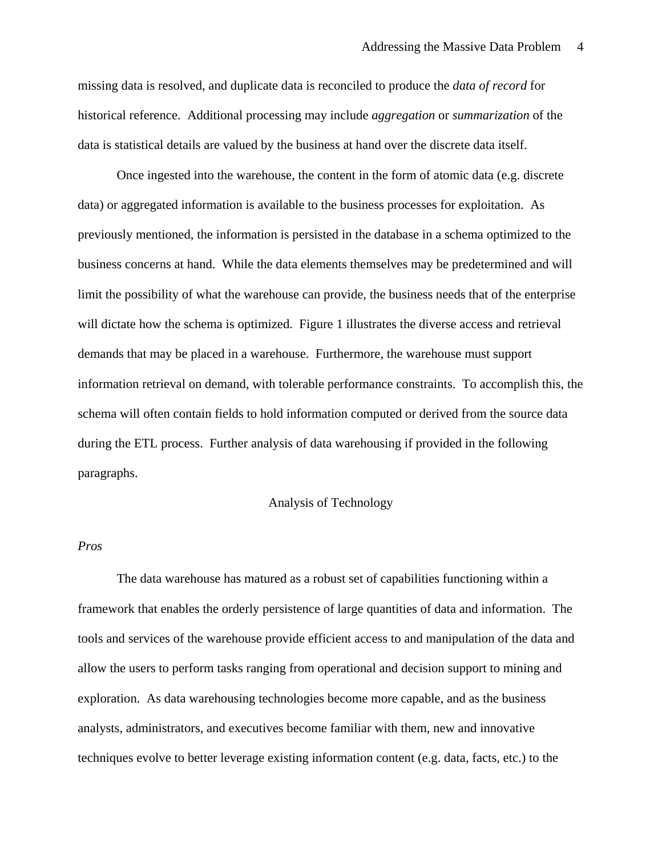missing data is resolved, and duplicate data is reconciled to produce the *data of record* for historical reference. Additional processing may include *aggregation* or *summarization* of the data is statistical details are valued by the business at hand over the discrete data itself.

Once ingested into the warehouse, the content in the form of atomic data (e.g. discrete data) or aggregated information is available to the business processes for exploitation. As previously mentioned, the information is persisted in the database in a schema optimized to the business concerns at hand. While the data elements themselves may be predetermined and will limit the possibility of what the warehouse can provide, the business needs that of the enterprise will dictate how the schema is optimized. Figure 1 illustrates the diverse access and retrieval demands that may be placed in a warehouse. Furthermore, the warehouse must support information retrieval on demand, with tolerable performance constraints. To accomplish this, the schema will often contain fields to hold information computed or derived from the source data during the ETL process. Further analysis of data warehousing if provided in the following paragraphs.

#### Analysis of Technology

### *Pros*

The data warehouse has matured as a robust set of capabilities functioning within a framework that enables the orderly persistence of large quantities of data and information. The tools and services of the warehouse provide efficient access to and manipulation of the data and allow the users to perform tasks ranging from operational and decision support to mining and exploration. As data warehousing technologies become more capable, and as the business analysts, administrators, and executives become familiar with them, new and innovative techniques evolve to better leverage existing information content (e.g. data, facts, etc.) to the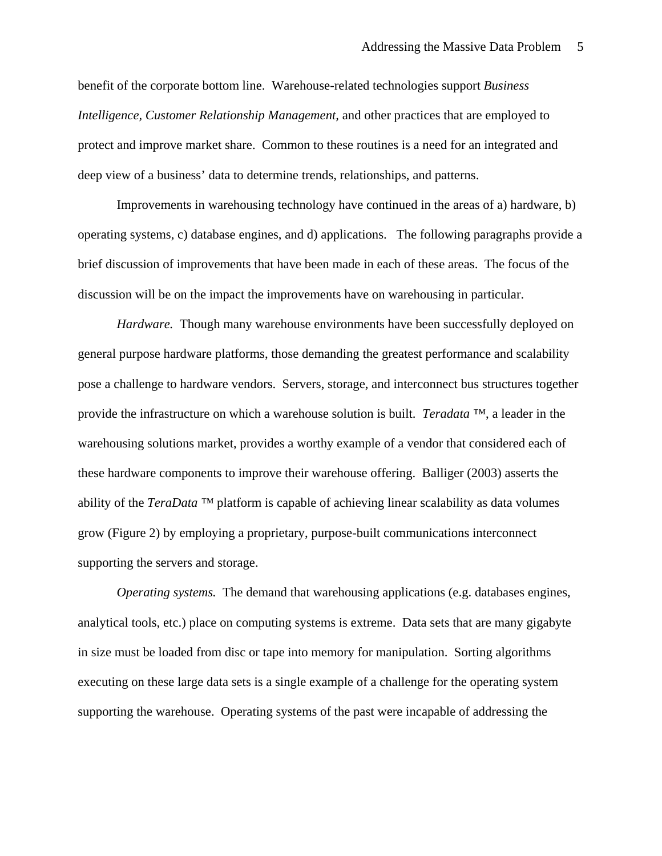benefit of the corporate bottom line. Warehouse-related technologies support *Business Intelligence, Customer Relationship Management,* and other practices that are employed to protect and improve market share. Common to these routines is a need for an integrated and deep view of a business' data to determine trends, relationships, and patterns.

Improvements in warehousing technology have continued in the areas of a) hardware, b) operating systems, c) database engines, and d) applications. The following paragraphs provide a brief discussion of improvements that have been made in each of these areas. The focus of the discussion will be on the impact the improvements have on warehousing in particular.

*Hardware.* Though many warehouse environments have been successfully deployed on general purpose hardware platforms, those demanding the greatest performance and scalability pose a challenge to hardware vendors. Servers, storage, and interconnect bus structures together provide the infrastructure on which a warehouse solution is built. *Teradata ™*, a leader in the warehousing solutions market, provides a worthy example of a vendor that considered each of these hardware components to improve their warehouse offering. Balliger (2003) asserts the ability of the *TeraData ™* platform is capable of achieving linear scalability as data volumes grow (Figure 2) by employing a proprietary, purpose-built communications interconnect supporting the servers and storage.

*Operating systems.* The demand that warehousing applications (e.g. databases engines, analytical tools, etc.) place on computing systems is extreme. Data sets that are many gigabyte in size must be loaded from disc or tape into memory for manipulation. Sorting algorithms executing on these large data sets is a single example of a challenge for the operating system supporting the warehouse. Operating systems of the past were incapable of addressing the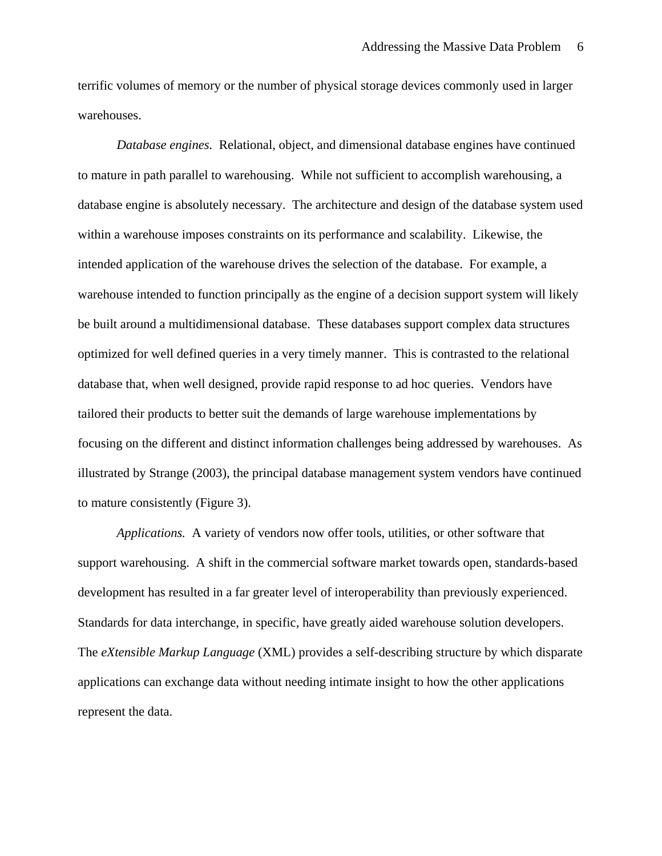terrific volumes of memory or the number of physical storage devices commonly used in larger warehouses.

*Database engines.* Relational, object, and dimensional database engines have continued to mature in path parallel to warehousing. While not sufficient to accomplish warehousing, a database engine is absolutely necessary. The architecture and design of the database system used within a warehouse imposes constraints on its performance and scalability. Likewise, the intended application of the warehouse drives the selection of the database. For example, a warehouse intended to function principally as the engine of a decision support system will likely be built around a multidimensional database. These databases support complex data structures optimized for well defined queries in a very timely manner. This is contrasted to the relational database that, when well designed, provide rapid response to ad hoc queries. Vendors have tailored their products to better suit the demands of large warehouse implementations by focusing on the different and distinct information challenges being addressed by warehouses. As illustrated by Strange (2003), the principal database management system vendors have continued to mature consistently (Figure 3).

*Applications.* A variety of vendors now offer tools, utilities, or other software that support warehousing. A shift in the commercial software market towards open, standards-based development has resulted in a far greater level of interoperability than previously experienced. Standards for data interchange, in specific, have greatly aided warehouse solution developers. The *eXtensible Markup Language* (XML) provides a self-describing structure by which disparate applications can exchange data without needing intimate insight to how the other applications represent the data.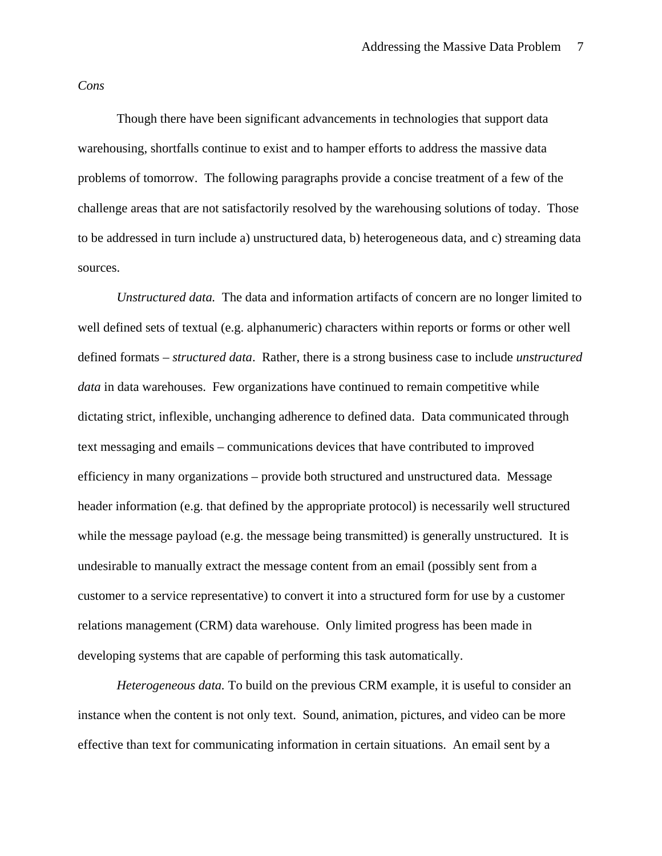*Cons* 

Though there have been significant advancements in technologies that support data warehousing, shortfalls continue to exist and to hamper efforts to address the massive data problems of tomorrow. The following paragraphs provide a concise treatment of a few of the challenge areas that are not satisfactorily resolved by the warehousing solutions of today. Those to be addressed in turn include a) unstructured data, b) heterogeneous data, and c) streaming data sources.

*Unstructured data.* The data and information artifacts of concern are no longer limited to well defined sets of textual (e.g. alphanumeric) characters within reports or forms or other well defined formats – *structured data*. Rather, there is a strong business case to include *unstructured data* in data warehouses. Few organizations have continued to remain competitive while dictating strict, inflexible, unchanging adherence to defined data. Data communicated through text messaging and emails – communications devices that have contributed to improved efficiency in many organizations – provide both structured and unstructured data. Message header information (e.g. that defined by the appropriate protocol) is necessarily well structured while the message payload (e.g. the message being transmitted) is generally unstructured. It is undesirable to manually extract the message content from an email (possibly sent from a customer to a service representative) to convert it into a structured form for use by a customer relations management (CRM) data warehouse. Only limited progress has been made in developing systems that are capable of performing this task automatically.

*Heterogeneous data.* To build on the previous CRM example, it is useful to consider an instance when the content is not only text. Sound, animation, pictures, and video can be more effective than text for communicating information in certain situations. An email sent by a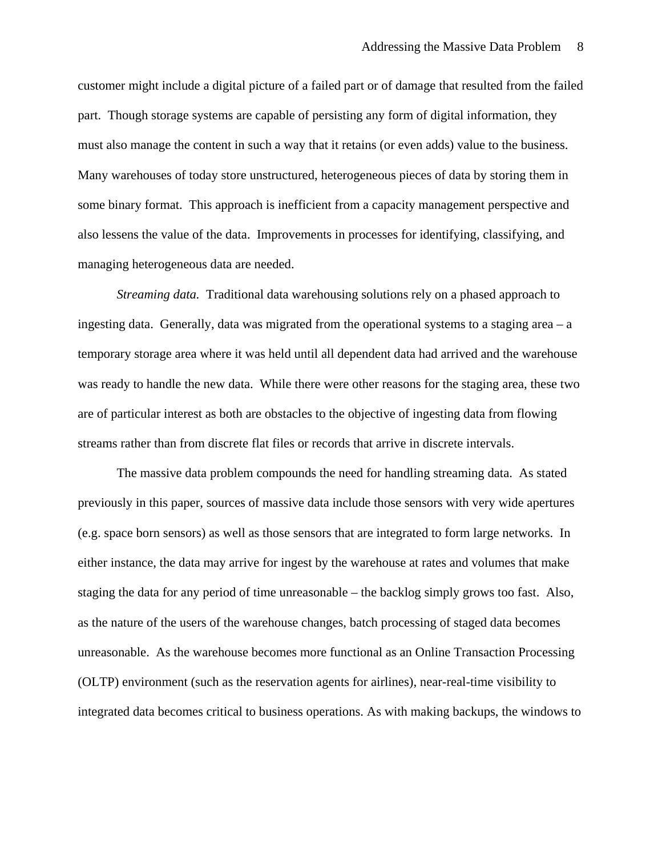customer might include a digital picture of a failed part or of damage that resulted from the failed part. Though storage systems are capable of persisting any form of digital information, they must also manage the content in such a way that it retains (or even adds) value to the business. Many warehouses of today store unstructured, heterogeneous pieces of data by storing them in some binary format. This approach is inefficient from a capacity management perspective and also lessens the value of the data. Improvements in processes for identifying, classifying, and managing heterogeneous data are needed.

*Streaming data.* Traditional data warehousing solutions rely on a phased approach to ingesting data. Generally, data was migrated from the operational systems to a staging area – a temporary storage area where it was held until all dependent data had arrived and the warehouse was ready to handle the new data. While there were other reasons for the staging area, these two are of particular interest as both are obstacles to the objective of ingesting data from flowing streams rather than from discrete flat files or records that arrive in discrete intervals.

The massive data problem compounds the need for handling streaming data. As stated previously in this paper, sources of massive data include those sensors with very wide apertures (e.g. space born sensors) as well as those sensors that are integrated to form large networks. In either instance, the data may arrive for ingest by the warehouse at rates and volumes that make staging the data for any period of time unreasonable – the backlog simply grows too fast. Also, as the nature of the users of the warehouse changes, batch processing of staged data becomes unreasonable. As the warehouse becomes more functional as an Online Transaction Processing (OLTP) environment (such as the reservation agents for airlines), near-real-time visibility to integrated data becomes critical to business operations. As with making backups, the windows to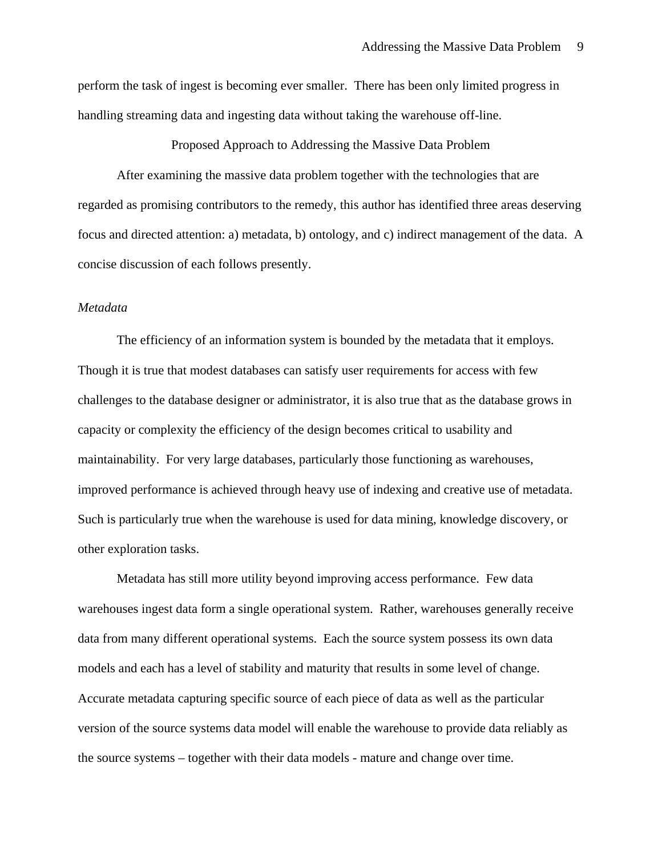perform the task of ingest is becoming ever smaller. There has been only limited progress in handling streaming data and ingesting data without taking the warehouse off-line.

Proposed Approach to Addressing the Massive Data Problem

After examining the massive data problem together with the technologies that are regarded as promising contributors to the remedy, this author has identified three areas deserving focus and directed attention: a) metadata, b) ontology, and c) indirect management of the data. A concise discussion of each follows presently.

#### *Metadata*

The efficiency of an information system is bounded by the metadata that it employs. Though it is true that modest databases can satisfy user requirements for access with few challenges to the database designer or administrator, it is also true that as the database grows in capacity or complexity the efficiency of the design becomes critical to usability and maintainability. For very large databases, particularly those functioning as warehouses, improved performance is achieved through heavy use of indexing and creative use of metadata. Such is particularly true when the warehouse is used for data mining, knowledge discovery, or other exploration tasks.

Metadata has still more utility beyond improving access performance. Few data warehouses ingest data form a single operational system. Rather, warehouses generally receive data from many different operational systems. Each the source system possess its own data models and each has a level of stability and maturity that results in some level of change. Accurate metadata capturing specific source of each piece of data as well as the particular version of the source systems data model will enable the warehouse to provide data reliably as the source systems – together with their data models - mature and change over time.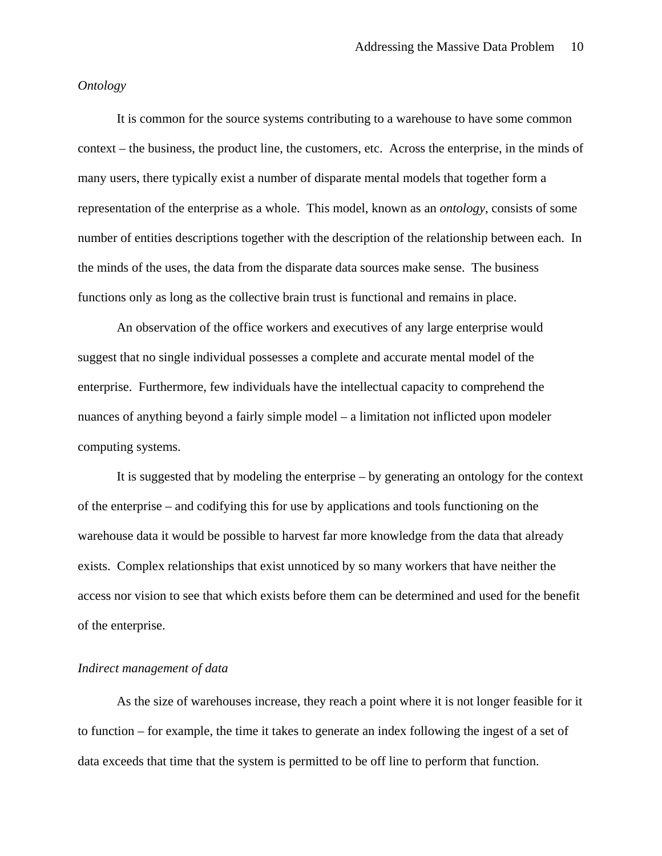#### *Ontology*

It is common for the source systems contributing to a warehouse to have some common context – the business, the product line, the customers, etc. Across the enterprise, in the minds of many users, there typically exist a number of disparate mental models that together form a representation of the enterprise as a whole. This model, known as an *ontology*, consists of some number of entities descriptions together with the description of the relationship between each. In the minds of the uses, the data from the disparate data sources make sense. The business functions only as long as the collective brain trust is functional and remains in place.

An observation of the office workers and executives of any large enterprise would suggest that no single individual possesses a complete and accurate mental model of the enterprise. Furthermore, few individuals have the intellectual capacity to comprehend the nuances of anything beyond a fairly simple model – a limitation not inflicted upon modeler computing systems.

It is suggested that by modeling the enterprise – by generating an ontology for the context of the enterprise – and codifying this for use by applications and tools functioning on the warehouse data it would be possible to harvest far more knowledge from the data that already exists. Complex relationships that exist unnoticed by so many workers that have neither the access nor vision to see that which exists before them can be determined and used for the benefit of the enterprise.

#### *Indirect management of data*

As the size of warehouses increase, they reach a point where it is not longer feasible for it to function – for example, the time it takes to generate an index following the ingest of a set of data exceeds that time that the system is permitted to be off line to perform that function.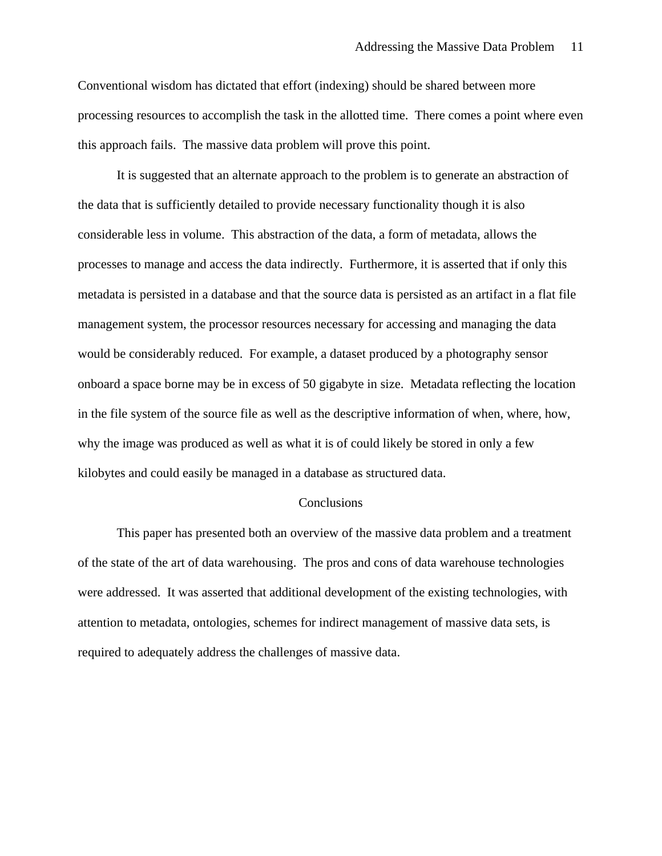Conventional wisdom has dictated that effort (indexing) should be shared between more processing resources to accomplish the task in the allotted time. There comes a point where even this approach fails. The massive data problem will prove this point.

It is suggested that an alternate approach to the problem is to generate an abstraction of the data that is sufficiently detailed to provide necessary functionality though it is also considerable less in volume. This abstraction of the data, a form of metadata, allows the processes to manage and access the data indirectly. Furthermore, it is asserted that if only this metadata is persisted in a database and that the source data is persisted as an artifact in a flat file management system, the processor resources necessary for accessing and managing the data would be considerably reduced. For example, a dataset produced by a photography sensor onboard a space borne may be in excess of 50 gigabyte in size. Metadata reflecting the location in the file system of the source file as well as the descriptive information of when, where, how, why the image was produced as well as what it is of could likely be stored in only a few kilobytes and could easily be managed in a database as structured data.

#### Conclusions

This paper has presented both an overview of the massive data problem and a treatment of the state of the art of data warehousing. The pros and cons of data warehouse technologies were addressed. It was asserted that additional development of the existing technologies, with attention to metadata, ontologies, schemes for indirect management of massive data sets, is required to adequately address the challenges of massive data.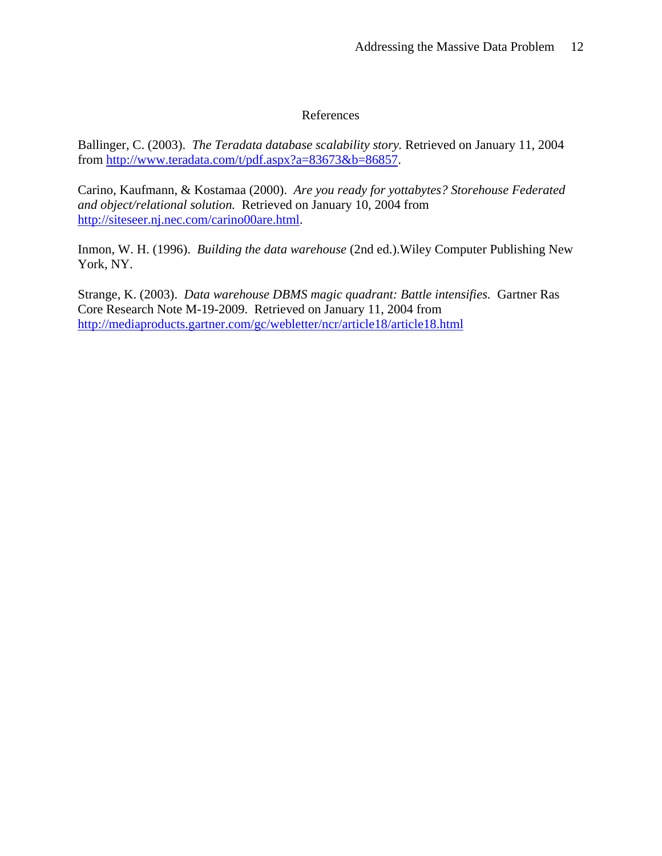## References

Ballinger, C. (2003). *The Teradata database scalability story.* Retrieved on January 11, 2004 from http://www.teradata.com/t/pdf.aspx?a=83673&b=86857.

Carino, Kaufmann, & Kostamaa (2000). *Are you ready for yottabytes? Storehouse Federated and object/relational solution.* Retrieved on January 10, 2004 from http://siteseer.nj.nec.com/carino00are.html.

Inmon, W. H. (1996). *Building the data warehouse* (2nd ed.).Wiley Computer Publishing New York, NY.

Strange, K. (2003). *Data warehouse DBMS magic quadrant: Battle intensifies.* Gartner Ras Core Research Note M-19-2009. Retrieved on January 11, 2004 from http://mediaproducts.gartner.com/gc/webletter/ncr/article18/article18.html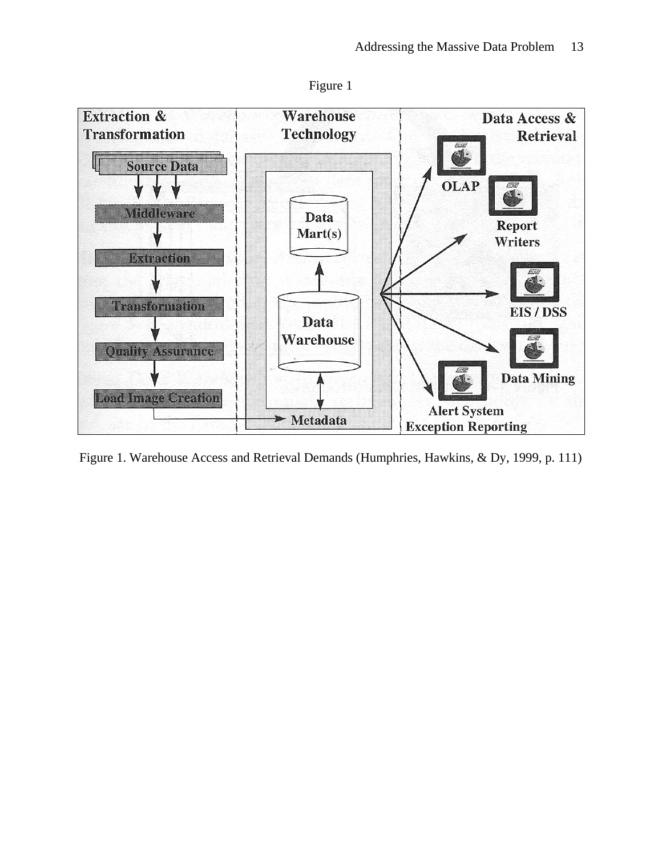



Figure 1. Warehouse Access and Retrieval Demands (Humphries, Hawkins, & Dy, 1999, p. 111)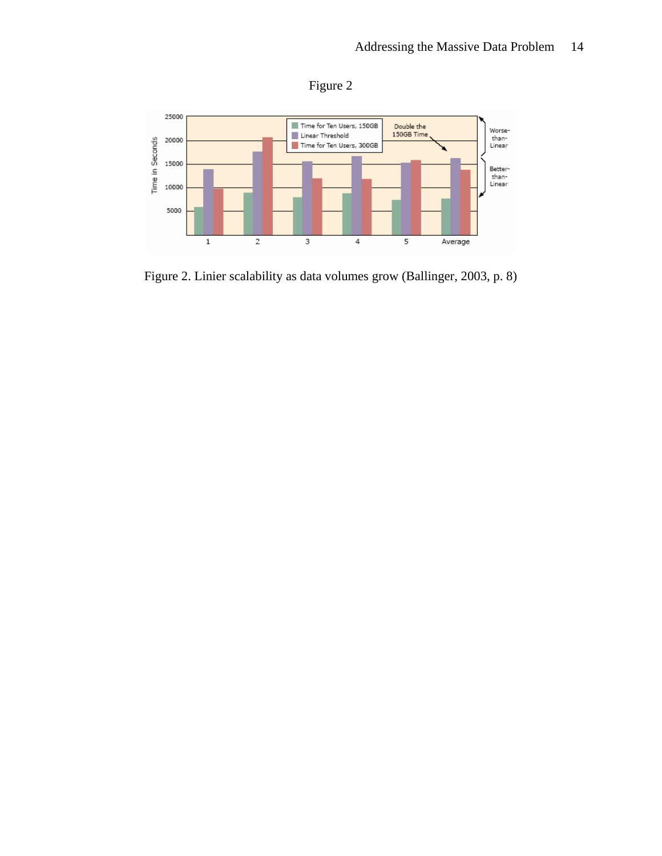



Figure 2. Linier scalability as data volumes grow (Ballinger, 2003, p. 8)